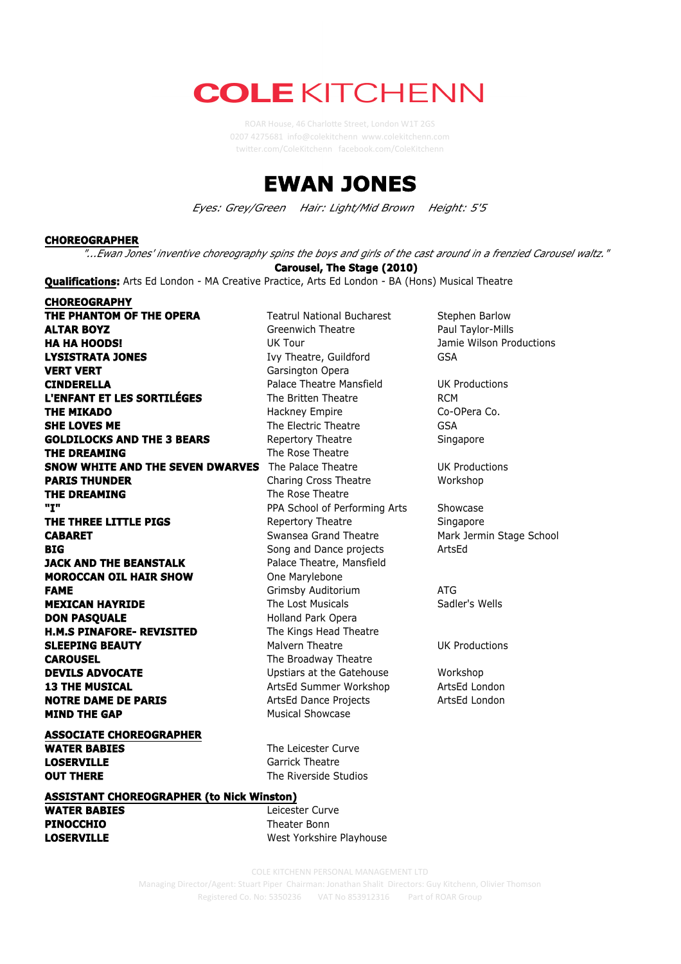## **COLE KITCHENN**

ROAR House, 46 Charlotte Street, London W1T 2GS 0207 4275681 info@colekitchenn www.colekitchenn.com twi2er.com/ColeKitchenn facebook.com/ColeKitchenn



*Eyes: Grey/Green Hair: Light/Mid Brown Height: 5'5*



**YOUR A GOOD COLE KITCHENN PERSONAL MANAGEMENT LTD Managing Director/Agent: Stuart Piper** Chairman: Jonathan Shalit Directors: Guy Kitchenn, Olivier Thomson Registered Co. No: 5350236 VAT No 853912316 Part of ROAR Group